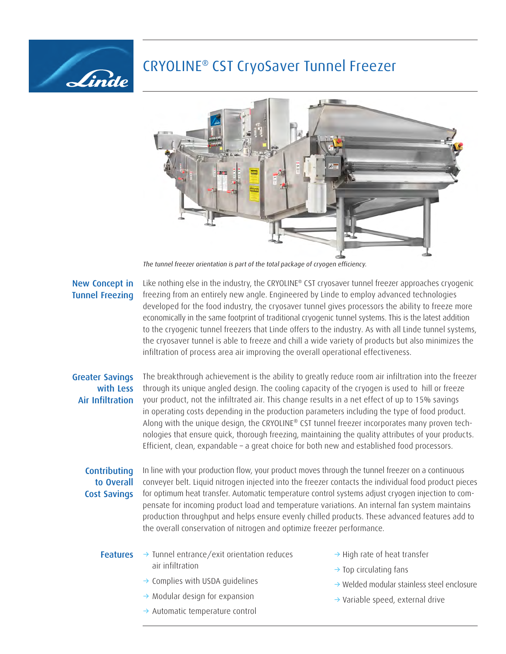# CRYOLINE® CST CryoSaver Tunnel Freezer



The tunnel freezer orientation is part of the total package of cryogen efficiency.

## New Concept in Tunnel Freezing

Linde

Like nothing else in the industry, the CRYOLINE® CST cryosaver tunnel freezer approaches cryogenic freezing from an entirely new angle. Engineered by Linde to employ advanced technologies developed for the food industry, the cryosaver tunnel gives processors the ability to freeze more economically in the same footprint of traditional cryogenic tunnel systems. This is the latest addition to the cryogenic tunnel freezers that Linde offers to the industry. As with all Linde tunnel systems, the cryosaver tunnel is able to freeze and chill a wide variety of products but also minimizes the infiltration of process area air improving the overall operational effectiveness.

## Greater Savings with Less Air Infiltration

The breakthrough achievement is the ability to greatly reduce room air infiltration into the freezer through its unique angled design. The cooling capacity of the cryogen is used to hill or freeze your product, not the infiltrated air. This change results in a net effect of up to 15% savings in operating costs depending in the production parameters including the type of food product. Along with the unique design, the CRYOLINE® CST tunnel freezer incorporates many proven technologies that ensure quick, thorough freezing, maintaining the quality attributes of your products. Efficient, clean, expandable – a great choice for both new and established food processors.

## **Contributing** to Overall Cost Savings

In line with your production flow, your product moves through the tunnel freezer on a continuous conveyer belt. Liquid nitrogen injected into the freezer contacts the individual food product pieces for optimum heat transfer. Automatic temperature control systems adjust cryogen injection to compensate for incoming product load and temperature variations. An internal fan system maintains production throughput and helps ensure evenly chilled products. These advanced features add to the overall conservation of nitrogen and optimize freezer performance.

#### Features  $\rightarrow$  Tunnel entrance/exit orientation reduces air infiltration

- $\rightarrow$  Complies with USDA guidelines
- $\rightarrow$  Modular design for expansion
- $\rightarrow$  Automatic temperature control
- $\rightarrow$  High rate of heat transfer
- $\rightarrow$  Top circulating fans
- $\rightarrow$  Welded modular stainless steel enclosure
- $\rightarrow$  Variable speed, external drive